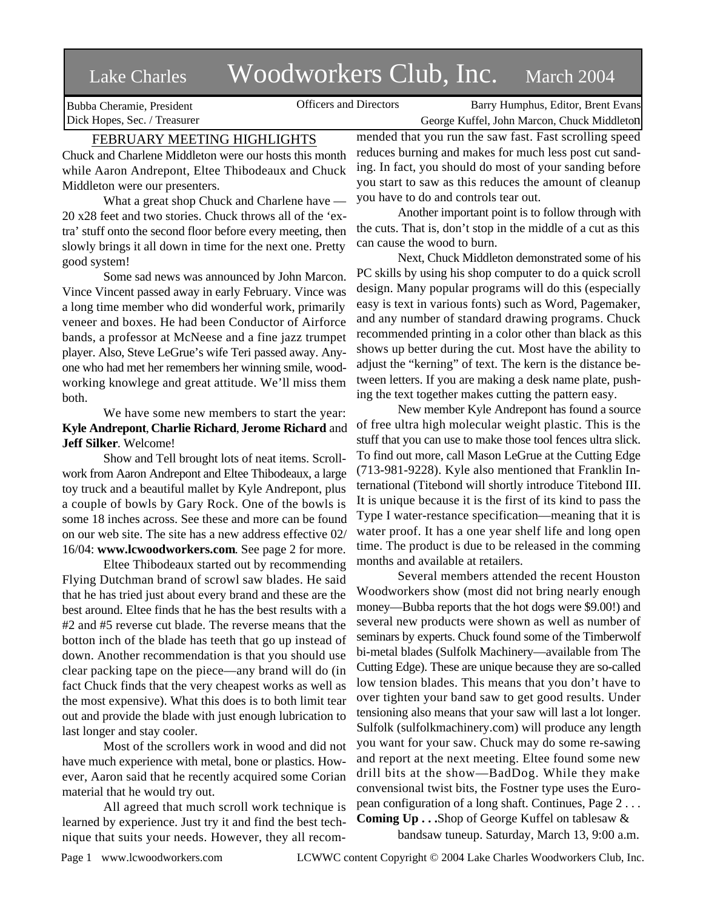# Lake Charles Woodworkers Club, Inc. March 2004

Bubba Cheramie, President Dick Hopes, Sec. / Treasurer

Officers and Directors Barry Humphus, Editor, Brent Evans George Kuffel, John Marcon, Chuck Middleton

# FEBRUARY MEETING HIGHLIGHTS

Chuck and Charlene Middleton were our hosts this month while Aaron Andrepont, Eltee Thibodeaux and Chuck Middleton were our presenters.

What a great shop Chuck and Charlene have — 20 x28 feet and two stories. Chuck throws all of the 'extra' stuff onto the second floor before every meeting, then slowly brings it all down in time for the next one. Pretty good system!

Some sad news was announced by John Marcon. Vince Vincent passed away in early February. Vince was a long time member who did wonderful work, primarily veneer and boxes. He had been Conductor of Airforce bands, a professor at McNeese and a fine jazz trumpet player. Also, Steve LeGrue's wife Teri passed away. Anyone who had met her remembers her winning smile, woodworking knowlege and great attitude. We'll miss them both.

We have some new members to start the year: **Kyle Andrepont**, **Charlie Richard**, **Jerome Richard** and **Jeff Silker**. Welcome!

Show and Tell brought lots of neat items. Scrollwork from Aaron Andrepont and Eltee Thibodeaux, a large toy truck and a beautiful mallet by Kyle Andrepont, plus a couple of bowls by Gary Rock. One of the bowls is some 18 inches across. See these and more can be found on our web site. The site has a new address effective 02/ 16/04: **www.lcwoodworkers.com**. See page 2 for more.

Eltee Thibodeaux started out by recommending Flying Dutchman brand of scrowl saw blades. He said that he has tried just about every brand and these are the best around. Eltee finds that he has the best results with a #2 and #5 reverse cut blade. The reverse means that the botton inch of the blade has teeth that go up instead of down. Another recommendation is that you should use clear packing tape on the piece—any brand will do (in fact Chuck finds that the very cheapest works as well as the most expensive). What this does is to both limit tear out and provide the blade with just enough lubrication to last longer and stay cooler.

Most of the scrollers work in wood and did not have much experience with metal, bone or plastics. However, Aaron said that he recently acquired some Corian material that he would try out.

All agreed that much scroll work technique is learned by experience. Just try it and find the best technique that suits your needs. However, they all recommended that you run the saw fast. Fast scrolling speed reduces burning and makes for much less post cut sanding. In fact, you should do most of your sanding before you start to saw as this reduces the amount of cleanup you have to do and controls tear out.

Another important point is to follow through with the cuts. That is, don't stop in the middle of a cut as this can cause the wood to burn.

Next, Chuck Middleton demonstrated some of his PC skills by using his shop computer to do a quick scroll design. Many popular programs will do this (especially easy is text in various fonts) such as Word, Pagemaker, and any number of standard drawing programs. Chuck recommended printing in a color other than black as this shows up better during the cut. Most have the ability to adjust the "kerning" of text. The kern is the distance between letters. If you are making a desk name plate, pushing the text together makes cutting the pattern easy.

New member Kyle Andrepont has found a source of free ultra high molecular weight plastic. This is the stuff that you can use to make those tool fences ultra slick. To find out more, call Mason LeGrue at the Cutting Edge (713-981-9228). Kyle also mentioned that Franklin International (Titebond will shortly introduce Titebond III. It is unique because it is the first of its kind to pass the Type I water-restance specification—meaning that it is water proof. It has a one year shelf life and long open time. The product is due to be released in the comming months and available at retailers.

Several members attended the recent Houston Woodworkers show (most did not bring nearly enough money—Bubba reports that the hot dogs were \$9.00!) and several new products were shown as well as number of seminars by experts. Chuck found some of the Timberwolf bi-metal blades (Sulfolk Machinery—available from The Cutting Edge). These are unique because they are so-called low tension blades. This means that you don't have to over tighten your band saw to get good results. Under tensioning also means that your saw will last a lot longer. Sulfolk (sulfolkmachinery.com) will produce any length you want for your saw. Chuck may do some re-sawing and report at the next meeting. Eltee found some new drill bits at the show—BadDog. While they make convensional twist bits, the Fostner type uses the European configuration of a long shaft. Continues, Page 2 . . . **Coming Up . . .**Shop of George Kuffel on tablesaw &

bandsaw tuneup. Saturday, March 13, 9:00 a.m.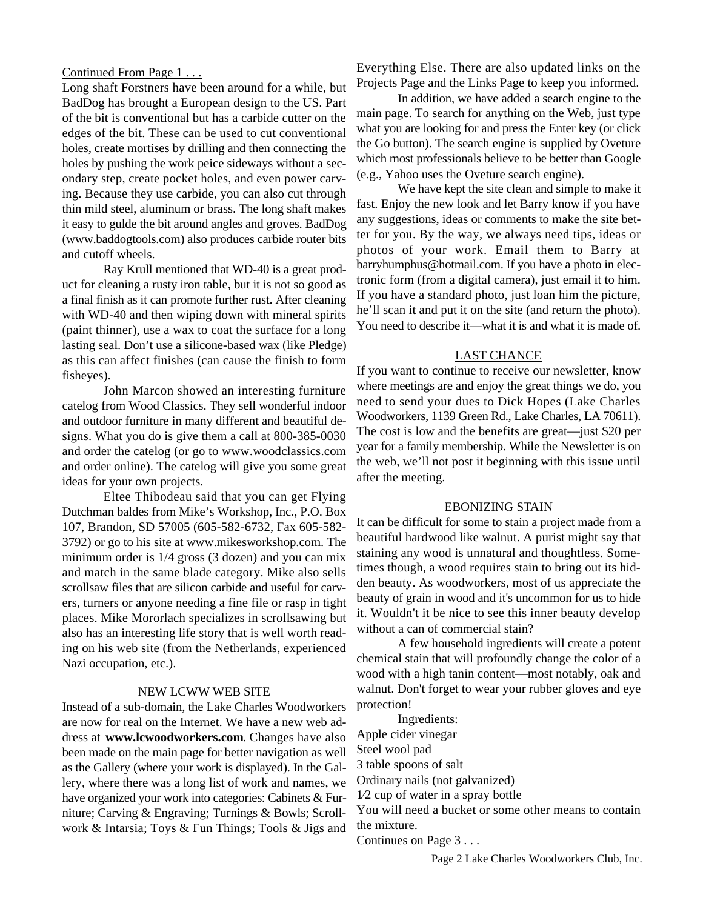## Continued From Page 1 . . .

Long shaft Forstners have been around for a while, but BadDog has brought a European design to the US. Part of the bit is conventional but has a carbide cutter on the edges of the bit. These can be used to cut conventional holes, create mortises by drilling and then connecting the holes by pushing the work peice sideways without a secondary step, create pocket holes, and even power carving. Because they use carbide, you can also cut through thin mild steel, aluminum or brass. The long shaft makes it easy to gulde the bit around angles and groves. BadDog (www.baddogtools.com) also produces carbide router bits and cutoff wheels.

Ray Krull mentioned that WD-40 is a great product for cleaning a rusty iron table, but it is not so good as a final finish as it can promote further rust. After cleaning with WD-40 and then wiping down with mineral spirits (paint thinner), use a wax to coat the surface for a long lasting seal. Don't use a silicone-based wax (like Pledge) as this can affect finishes (can cause the finish to form fisheyes).

John Marcon showed an interesting furniture catelog from Wood Classics. They sell wonderful indoor and outdoor furniture in many different and beautiful designs. What you do is give them a call at 800-385-0030 and order the catelog (or go to www.woodclassics.com and order online). The catelog will give you some great ideas for your own projects.

Eltee Thibodeau said that you can get Flying Dutchman baldes from Mike's Workshop, Inc., P.O. Box 107, Brandon, SD 57005 (605-582-6732, Fax 605-582- 3792) or go to his site at www.mikesworkshop.com. The minimum order is 1/4 gross (3 dozen) and you can mix and match in the same blade category. Mike also sells scrollsaw files that are silicon carbide and useful for carvers, turners or anyone needing a fine file or rasp in tight places. Mike Mororlach specializes in scrollsawing but also has an interesting life story that is well worth reading on his web site (from the Netherlands, experienced Nazi occupation, etc.).

#### NEW LCWW WEB SITE

Instead of a sub-domain, the Lake Charles Woodworkers are now for real on the Internet. We have a new web address at **www.lcwoodworkers.com**. Changes have also been made on the main page for better navigation as well as the Gallery (where your work is displayed). In the Gallery, where there was a long list of work and names, we have organized your work into categories: Cabinets & Furniture; Carving & Engraving; Turnings & Bowls; Scrollwork & Intarsia; Toys & Fun Things; Tools & Jigs and

Everything Else. There are also updated links on the Projects Page and the Links Page to keep you informed.

In addition, we have added a search engine to the main page. To search for anything on the Web, just type what you are looking for and press the Enter key (or click the Go button). The search engine is supplied by Oveture which most professionals believe to be better than Google (e.g., Yahoo uses the Oveture search engine).

We have kept the site clean and simple to make it fast. Enjoy the new look and let Barry know if you have any suggestions, ideas or comments to make the site better for you. By the way, we always need tips, ideas or photos of your work. Email them to Barry at barryhumphus@hotmail.com. If you have a photo in electronic form (from a digital camera), just email it to him. If you have a standard photo, just loan him the picture, he'll scan it and put it on the site (and return the photo). You need to describe it—what it is and what it is made of.

## LAST CHANCE

If you want to continue to receive our newsletter, know where meetings are and enjoy the great things we do, you need to send your dues to Dick Hopes (Lake Charles Woodworkers, 1139 Green Rd., Lake Charles, LA 70611). The cost is low and the benefits are great—just \$20 per year for a family membership. While the Newsletter is on the web, we'll not post it beginning with this issue until after the meeting.

#### EBONIZING STAIN

It can be difficult for some to stain a project made from a beautiful hardwood like walnut. A purist might say that staining any wood is unnatural and thoughtless. Sometimes though, a wood requires stain to bring out its hidden beauty. As woodworkers, most of us appreciate the beauty of grain in wood and it's uncommon for us to hide it. Wouldn't it be nice to see this inner beauty develop without a can of commercial stain?

A few household ingredients will create a potent chemical stain that will profoundly change the color of a wood with a high tanin content—most notably, oak and walnut. Don't forget to wear your rubber gloves and eye protection!

Ingredients: Apple cider vinegar Steel wool pad 3 table spoons of salt Ordinary nails (not galvanized) 1⁄2 cup of water in a spray bottle You will need a bucket or some other means to contain the mixture.

Continues on Page 3 . . .